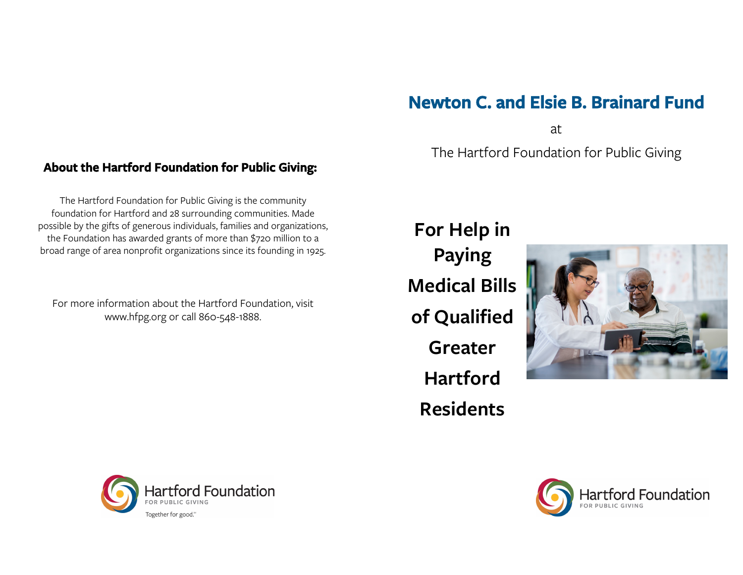# **Newton C. and Elsie B. Brainard Fund**

at

The Hartford Foundation for Public Giving

## **About the Hartford Foundation for Public Giving:**

The Hartford Foundation for Public Giving is the community foundation for Hartford and 28 surrounding communities. Made possible by the gifts of generous individuals, families and organizations, the Foundation has awarded grants of more than \$720 million to a broad range of area nonprofit organizations since its founding in 1925.

For more information about the Hartford Foundation, visit www.hfpg.org or call 860-548-1888.

**For Help in Paying Medical Bills of Qualified Greater Hartford Residents**